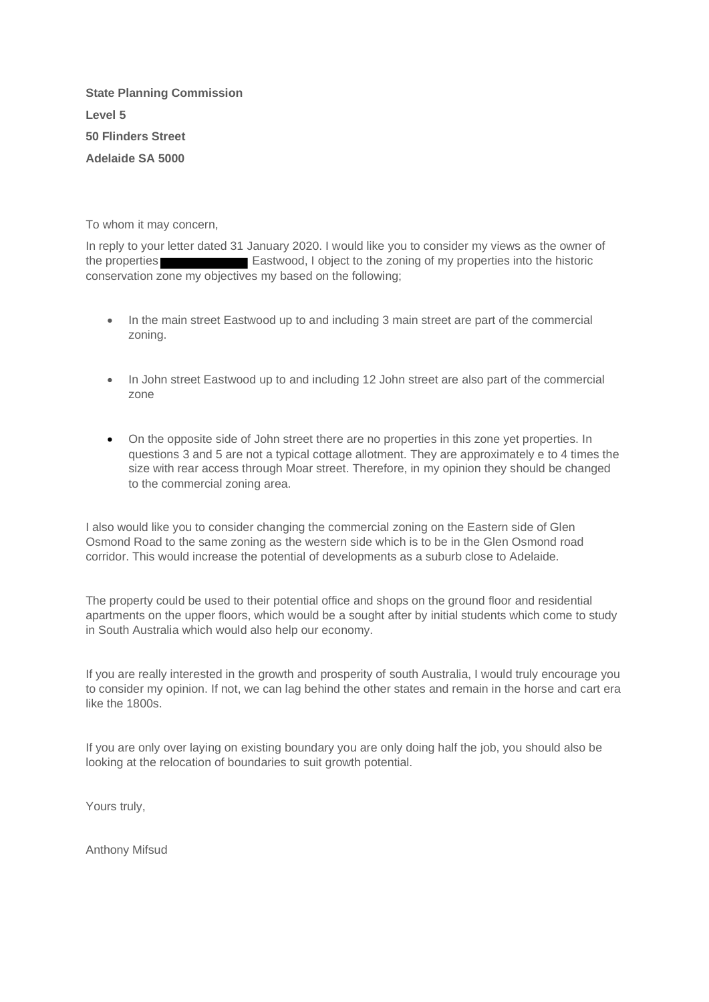**State Planning Commission Level 5 50 Flinders Street Adelaide SA 5000**

To whom it may concern,

In reply to your letter dated 31 January 2020. I would like you to consider my views as the owner of the properties Eastwood, I object to the zoning of my properties into the historic conservation zone my objectives my based on the following;

- In the main street Eastwood up to and including 3 main street are part of the commercial zoning.
- In John street Eastwood up to and including 12 John street are also part of the commercial zone
- On the opposite side of John street there are no properties in this zone yet properties. In questions 3 and 5 are not a typical cottage allotment. They are approximately e to 4 times the size with rear access through Moar street. Therefore, in my opinion they should be changed to the commercial zoning area.

I also would like you to consider changing the commercial zoning on the Eastern side of Glen Osmond Road to the same zoning as the western side which is to be in the Glen Osmond road corridor. This would increase the potential of developments as a suburb close to Adelaide.

The property could be used to their potential office and shops on the ground floor and residential apartments on the upper floors, which would be a sought after by initial students which come to study in South Australia which would also help our economy.

If you are really interested in the growth and prosperity of south Australia, I would truly encourage you to consider my opinion. If not, we can lag behind the other states and remain in the horse and cart era like the 1800s.

If you are only over laying on existing boundary you are only doing half the job, you should also be looking at the relocation of boundaries to suit growth potential.

Yours truly,

Anthony Mifsud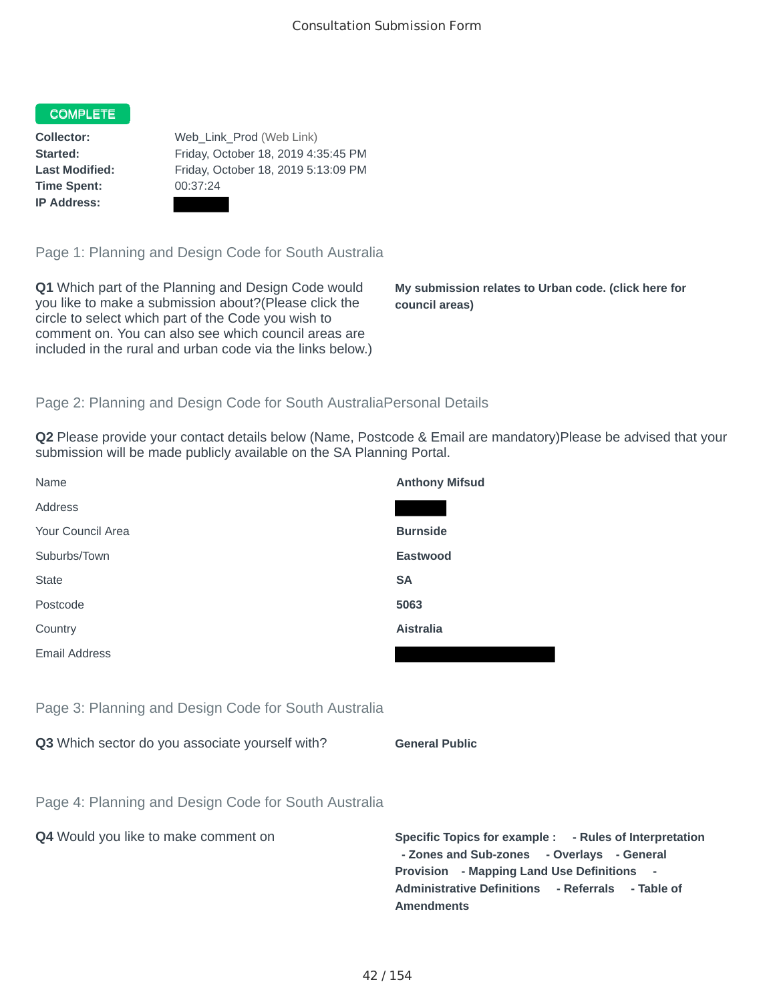# **COMPLETE**

**Time Spent:** 00:37:24 **IP Address:**

**Collector:** Web\_Link\_Prod (Web Link) **Started:** Friday, October 18, 2019 4:35:45 PM **Last Modified:** Friday, October 18, 2019 5:13:09 PM

Page 1: Planning and Design Code for South Australia

**Q1** Which part of the Planning and Design Code would you like to make a submission about?(Please click the circle to select which part of the Code you wish to comment on. You can also see which council areas are included in the rural and urban code via the links below.)

**My submission relates to Urban code. (click here for council areas)**

## Page 2: Planning and Design Code for South AustraliaPersonal Details

**Q2** Please provide your contact details below (Name, Postcode & Email are mandatory)Please be advised that your submission will be made publicly available on the SA Planning Portal.

| Name                                                 | <b>Anthony Mifsud</b>                                                                          |
|------------------------------------------------------|------------------------------------------------------------------------------------------------|
| Address                                              |                                                                                                |
| Your Council Area                                    | <b>Burnside</b>                                                                                |
| Suburbs/Town                                         | <b>Eastwood</b>                                                                                |
| <b>State</b>                                         | <b>SA</b>                                                                                      |
| Postcode                                             | 5063                                                                                           |
| Country                                              | <b>Aistralia</b>                                                                               |
| <b>Email Address</b>                                 |                                                                                                |
|                                                      |                                                                                                |
| Page 3: Planning and Design Code for South Australia |                                                                                                |
| Q3 Which sector do you associate yourself with?      | <b>General Public</b>                                                                          |
|                                                      |                                                                                                |
| Page 4: Planning and Design Code for South Australia |                                                                                                |
| Q4 Would you like to make comment on                 | <b>Specific Topics for example:</b><br>- Zones and Sub-zones - 0<br>Drovicion - Manning Land L |

Overlays - General **Provision - Mapping Land Use Definitions - Administrative Definitions - Referrals - Table of Amendments**

**- Rules of Interpretation**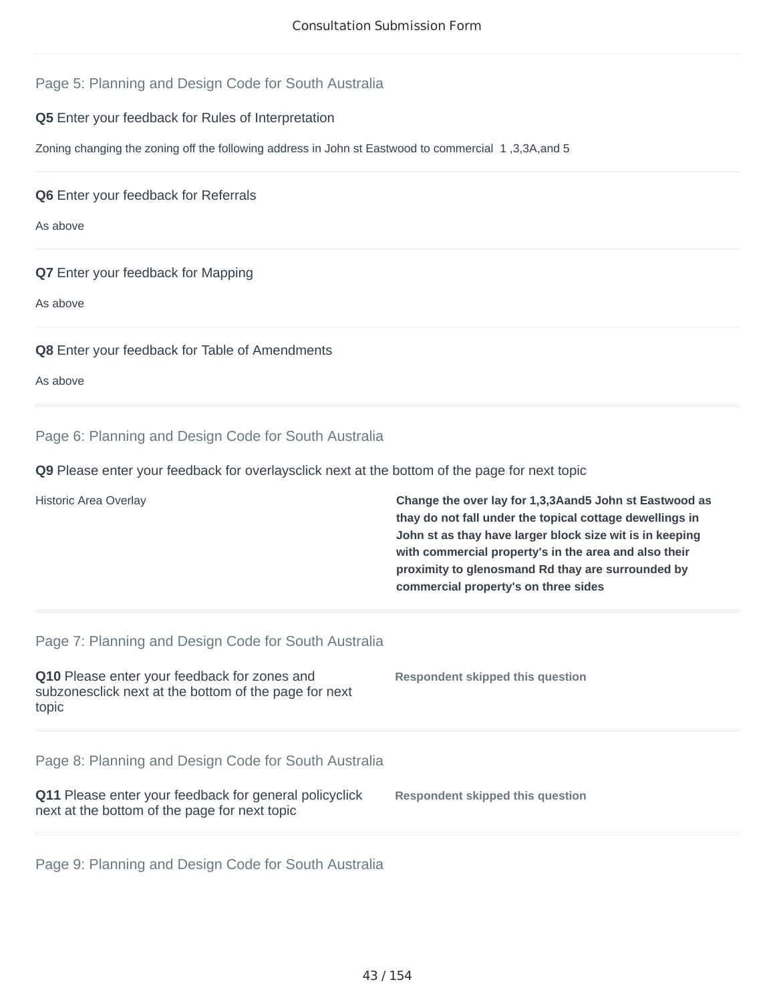## Page 5: Planning and Design Code for South Australia

### **Q5** Enter your feedback for Rules of Interpretation

Zoning changing the zoning off the following address in John st Eastwood to commercial 1 ,3,3A,and 5

**Q6** Enter your feedback for Referrals

As above

### **Q7** Enter your feedback for Mapping

As above

### **Q8** Enter your feedback for Table of Amendments

As above

### Page 6: Planning and Design Code for South Australia

**Q9** Please enter your feedback for overlaysclick next at the bottom of the page for next topic

Historic Area Overlay **Change the over lay for 1,3,3Aand5 John st Eastwood as thay do not fall under the topical cottage dewellings in John st as thay have larger block size wit is in keeping with commercial property's in the area and also their proximity to glenosmand Rd thay are surrounded by commercial property's on three sides**

#### Page 7: Planning and Design Code for South Australia

| <b>Q10</b> Please enter your feedback for zones and<br>subzonesclick next at the bottom of the page for next<br>topic | Respondent skipped this question |
|-----------------------------------------------------------------------------------------------------------------------|----------------------------------|
|                                                                                                                       |                                  |

Page 8: Planning and Design Code for South Australia

| <b>Q11</b> Please enter your feedback for general policyclick | <b>Respondent skipped this question</b> |
|---------------------------------------------------------------|-----------------------------------------|
| next at the bottom of the page for next topic                 |                                         |

Page 9: Planning and Design Code for South Australia